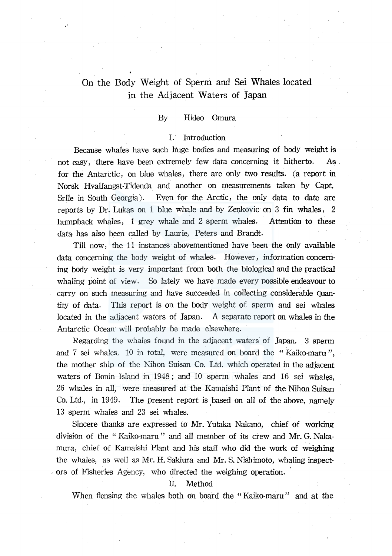# On the Body. Weight of Sperm and Sei Whales located in the Adjacent Waters of Japan

## By Hideo Omura

#### I. Introduction

Because whales have such huge bodies and measuring of body weight is not easy, there have been extremely few data concerning it hitherto. As . for the Antarctic, on blue whales, there are only two results. (a report in Norsk Hvalfangst-Tidenda and another on measurements taken by Capt. Srlle in South Georgia). Even for the Arctic, the only data to date are reports by Dr. Lukas on 1 blue whale and by Zenkovic on 3 fin whales, 2 humpback whales, 1 grey whale and 2 sperm whales. Attention to these data has also been called by Laurie, Peters and Brandt.

Till now, the 11 instances abovementioned have been the only available data concerning the body weight of whales. However, information concerning body weight is very important from both the biological and the practical whaling point of view. So lately we have made every possible endeavour to carry on such measuring and have succeeded in collecting considerable quantity of data. This report is on the body weight of sperm and sei whales located in the adjacent waters of Japan. A separate report on whales in the Antarctic Ocean will probably be made elsewhere.

Regarding the whales found in the adjacent waters of Japan, 3 sperm and 7 sei whales, 10 in total, were measured on board the "Kaiko-maru ", the mother ship of the Nihon Suisan Co. Ltd. which operated in the adjacent waters of Bonin Island in 1948; and 10 sperm whales and 16 sei whales, 26 whales in all, were measured at the Kamaishi Plant of the Nihon Suisan Co. Ltd., in 1949. The present report is based on all of the above, namely 13 sperm whales and 23 sei whales.

Sincere thanks are expressed to Mr. Yutaka Nakano, chief of working division of the " Kaiko-maru " and all member of its crew and Mr. G. Nakamura, chief of Kamaishi Plant and his staff who did the work of weighing the whales, as well as Mr. H. Sakiura and Mr. S. Nishimoto, whaling inspect- . ors of Fisheries Agency, who directed the weighing operation.

#### II. Method

When flensing the whales both on board the "Kaiko-maru" and at the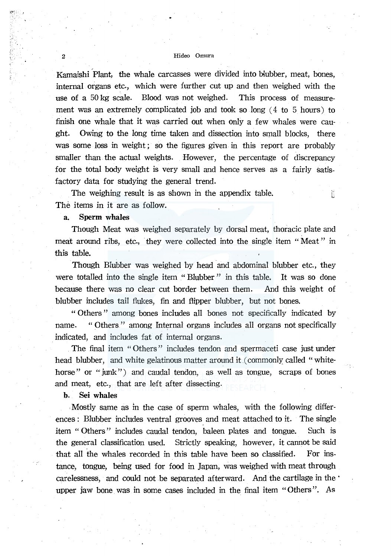Kamaishi Plant, the whale carcasses were divided into blubber, meat, bones, internal organs etc., which were further cut up and then weighed with the use of a 50 kg scale. Blood was not weighed. This process of measurement was an extremely complicated job and took so long  $(4 \text{ to } 5 \text{ hours})$  to finish one whale that it was carried out when only a few whales were caught. Owing to the long time taken and dissection into small blocks, there was some loss in weight; so the figures given in this report are probably smaller than the actual weights. However, the percentage of discrepancy for the total body weight is very small and hence serves as a fairly satisfactory data for studying the general trend.

The weighing result is as shown in the appendix table. The items in it are as follow.

## a. Sperm whales

Though Meat was weighed separately by dorsal meat, thoracic plate and meat around ribs, etc., they were collected into the single item "Meat" in this table.

នី

Though Blubber was weighed by head and abdominal blubber etc., they were totalled into the single item "Blubber" in this table. It was so done because there was no clear cut border between them. And this weight of blubber includes tail flukes, fin and flipper blubber, but not bones.

" Others " among bones includes all bones not specifically indicated by name. " Others " among Internal organs includes all organs not specifically indicated, and includes fat of internal organs.

The final item "Others" includes tendon and spermaceti case just under head blubber, and white gelatinous matter around it (commonly called "whitehorse" or "junk") and caudal tendon, as well as tongue, scraps of bones and meat, etc., that are left after dissecting.

b. Sei whales

. Mostly same as in the case of sperm whales, with the following differences : Blubber includes ventral grooves and meat attached to it. The single item " Others" includes caudal tendon, baleen plates and tongue. Such is the general classification used. Strictly speaking, however, it cannot be said that all the whales recorded in this table have been so classified. For instance, tongue, being used for food in Japan, was weighed with meat through carelessness, and could not be separated afterward. And the cartilage in the· upper jaw bone was in some cases included in the final item "Others". *As*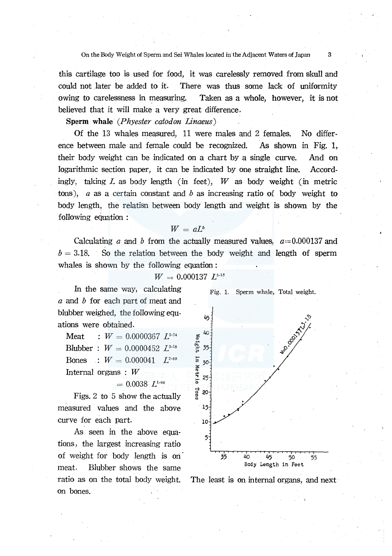this cartilage too is used for food, it was carelessly removed from skull and could not later be added to it. There was thus some lack of uniformity owing to carelessness in measuring. Taken as a whole, however, it is not believed that it will make a very great difference.

Sperm whale *(Phyester catodon Linaeus)* 

Of the 13 whales measured, 11 were males and 2 females. No difference between male and female could be recognized. As shown in Fig. l, their body weight can be indicated on a chart by a single curve. And on logarithmic section paper, it can be indicated by one straight line. Accordingly, taking *L* as body length (in feet), *W* as body weight (in metric tons), *a* as a certain constant and *b* as increasing ratio of body weight to body length, the relatisn between body length and weight is shown by the following equation :

## $W = aL^b$

Calculating a and b from the actually measured values,  $a=0.000137$  and  $b = 3.18$ . So the relation between the body weight and length of sperm whales is shown by the following equation:

 $W = 0.000137 L^{3.18}$ 

In the same way, calculating *a* and *b* for each part of meat and blubber weighed, the following equations were obtained.

Meat  $W = 0.0000367 L^{3.24}$ Blubber :  $W = 0.0000452 \ L^{3.18}$ **Bones** :  $W = 0.000041$   $L^{2.88}$ Internal organs : W

 $= 0.0038 L^{1.64}$ 

Figs. 2 to 5 show the actually measured values and the above curve for each part.

As seen in the above equations, the largest increasing ratio of weight for body length is on meat. Blubber shows the same on bones.





ratio as on the total body weight. The least is on internal organs, and next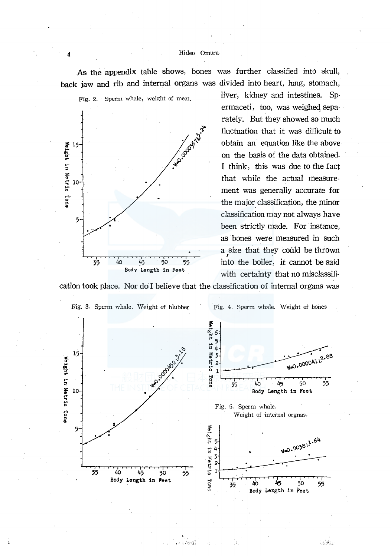As the appendix table shows, bones was further classified into skull, back jaw and rib and internal organs was divided into heart, iung, stomach,



liver, kidney and intestines. Spermaceti, too, was weighed separately. But they showed so much fluctuation that it was difficult to obtain an equation like the above on the basis of the data obtained. I think, this was due to the fact that while the actual measurement was generally accurate for the major classification, the minor classification may not always have been strictly made. For instance, as bones were measured in such a size that they could be thrown into the boiler, it cannot be said with certainty that no misclassifi-

cation took place. Nor do I believe that the classification of internal organs was



an G

 $\int_{\mathcal{K}}\left|\mathcal{B}^{\mathcal{G}}_{\mathcal{K}}\right|_{\mathcal{H}}$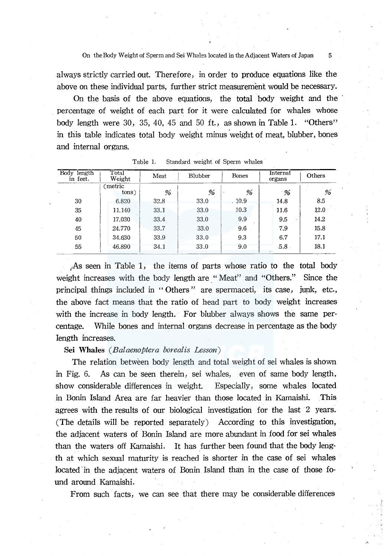always strictly carried out. Therefore, in order to produce equations like the above on these individual parts, further strict measurement would be necessary.

On the basis of the above equations, the total body weight and the percentage of weight of each part for it were calculated for whales whose body length were 30, 35, 40, 45 and 50 ft., as shown in Table 1. "Others" *in* this table indicates total body weight minus 'weight of meat, blubber, bones and internal organs.

| Body<br>length<br>in feet. | Total<br>Meat<br>Weight |      | Blubber | Bones  | Internal<br>organs | Others            |  |
|----------------------------|-------------------------|------|---------|--------|--------------------|-------------------|--|
|                            | (metric<br>tons)        | %    | %       | %      | $\cdot$ %          | %                 |  |
| 30                         | 6.820                   | 32.8 | 33.0    | . 10.9 | 14.8               | 8.5               |  |
| 35                         | 11.140                  | 33.1 | 33.0    | 10.3   | 11.6               | 12.0              |  |
| 40                         | 17.030                  | 33.4 | 33.0    | 9.9    | 9.5                | 14.2              |  |
| 45                         | 24.770                  | 33.7 | 33.0    | 9.6    | 7.9                | 15.8 <sup>°</sup> |  |
| 50                         | 34.630                  | 33.9 | 33.0    | 9.3    | 6.7                | 17.1              |  |
| 55                         | 46.890                  | 34.1 | 33.0    | 9.0    | .5.8               | 18.1              |  |

Table 1. Standard weight of Sperm whales

1As seen in Table 1, the items of parts whose ratio to the total body weight increases with the body length are "Meat" and "Others." Since the principal things included in "Others" are spermaceti, its case, jupk, etc., the above fact means that the ratio of head part to body weight increases with the increase in body length. For blubber always shows the same percentage. While bones and internal· organs decrease in percentage as the body length increases.

#### Sei Whales *(Balaenoptera borealis Lesson)*

The relation between body length and total weight of sei whales is shown in Fig. 6. As can be seen therein, sei whales, even of same body length, show considerable differences in weight. Especially, some whales located in Bonin Island Area are far heavier than those located in Kamaishi. This agrees with the results of our biological investigation for the last 2 years. (The details will be reported separately) According to this investigation, the adjacent waters of Bonin Island are more abundant in food for sei whales than the waters off Kamaishi. It has further been found that the body length at which sexual maturity is reached is shorter in the case of sei whales located in the adjacent waters of Bonin Island than in the case of those found around Kamaishi.

From such facts, we can see that there may be considerable differences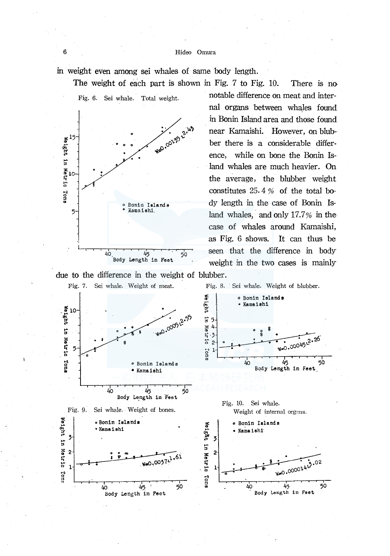in weight even among sei whales of same body length.



notable difference on meat and internal organs between whales found in Bonin Island area and those found near Kamaishi. However, on blubber there is a considerable difference, while on bone the Bonin Island whales are much heavier. On the average, the blubber weight constitutes 25. 4 *%* of the total body length in the case of Bonin Island whales, and only 17.7% in the case of whales around Kamaishi, as Fig. 6 shows. It can thus be seen that the difference in body weight in the two cases is mainly

due to the difference in the weight of blubber.

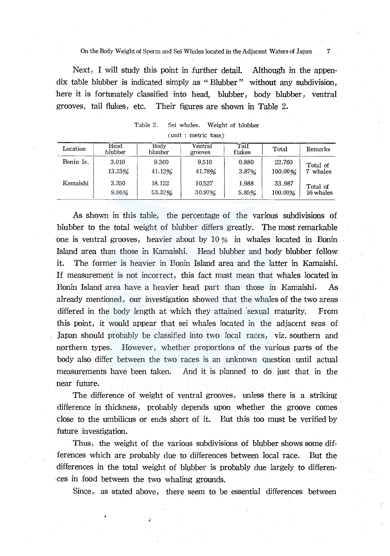On the Body Weight of Sperm and Sei Whales located in the Adjacent Waters of Japan 7

Next, I will study this point in further detail. Although in the appendix table blubber is indicated simply as "Blubber" without any subdivision, bere it is fortunately classified into head, blubber, body blubber, ventral grooves, tail flukes, etc. Their figures are shown in Table 2.

| Location  | Head<br>blubber | Bodv<br>Ventral<br>bluuber<br>grooves |        | Tail<br>flukes | Total   | Remarks   |
|-----------|-----------------|---------------------------------------|--------|----------------|---------|-----------|
| Bonin Is. | 3.010           | 9.360                                 | 9.510  | 0.880          | 22.760  | Total of  |
|           | 13.23%          | 41.12%                                | 41.78% | 3.87%          | 100.00% | 7 whales  |
| Kamaishi  | 3.350           | 18.122                                | 10.527 | 1.988          | 33.987  | Total of  |
|           | 9.86%           | 53.32%                                | 30.97% | 5.85%          | 100,00% | 16 whales |

Table 2. Sei whales. Weight of blubber (unit : metric tons)

As shown in this table, the percentage of the various subdivisions of blubber to the total weight of blubber differs greatly. The most remarkable one is ventral grooves, heavier about by  $10\%$  in whales located in Bonin Island area than those in Kamaishi. Head blubber and body blubber follow it. The former is heavier in Bonin Island area and the latter in Kamaishi. If measurement is not incorrect, this fact must mean that whales located in Bonin Island area have a heavier head part than those in Kamaishi. As already mentioned, our investigation showed that the whales of the two areas differed in the body length at which they attained sexual maturity. From this point, it would appear that sei whales located in the adjacent seas of Japan should probably be classified into two local races, viz. southern and northern types. However, whether proportions of the various parts of the body also differ between the two races is an unknown question until actual measurements have been taken. And it is planned to do just that in the near future.

The difference of weight of ventral grooves, unless there is a striking difference in thickness, probably depends upon whether the groove comes close to the umbilicus or ends short of it. But this too must be verified by future investigation.

Thus, the weight of the various subdivisions of blubber shows some differences which are probably due to differences between local race. But the differences in the total weight of blµbber is probably due largely to differences in food between the two whaling grounds.

/

Since, as stated above, there seem to be essential differences between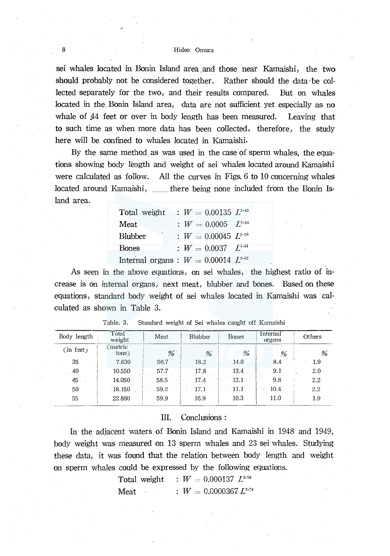sei whales located in Bonin Island area and those near Kamaishi, the two should probably not be considered together. Rather should the data be collected separately for the two, and their results compared. But on whales located in the. Bonin Island area, data are not sufficient yet especially as no whale of 44 feet or over in body length has been measured. Leaving that to such time as when more data has been collected, therefore, the study here will be confined to whales located in Kamaishi.

By the same method as was used in the case of sperm whales, the equations showing body length and weight of sei whales located around Kamaishi were calculated as follow. All the curves in Figs. 6 to 10 concerning whales located around Kamaishi, \_\_ there being none included from the Bonin Island area.

**Total weight :**  $W = 0.00135$   $L^{2+3}$ **Meat** Blubber  $W = 0.0005$   $L^{2.55}$  $W = 0.00045$   $L^{2.26}$ Bones  $W = 0.0037$   $L^{1.61}$ Internal organs :  $W = 0.00014$   $L^{3.02}$ 

As seen in the above equations, on sei whales, the highest ratio of increase is on internal organs, next meat, blubber and bones. Based on these equations, standard body weight of sei whales located in· Kamaishi was calculated as shown in Table 3.

| Body length | Total<br>weight | Meat | <b>Blubber</b> | <b>Bones</b> | Internal<br>organs | Others |
|-------------|-----------------|------|----------------|--------------|--------------------|--------|
| (in feet)   | metric<br>tons) | %    | %              | %            | %                  | %      |
| 35          | 7.630           | 56.7 | 18.2           | 14.8         | 8.4                | 1.9    |
| 40          | 10.550          | 57.7 | 17.8           | 13.4         | 9.1                | 2.0    |
| 45          | 14.050          | 58.5 | 17.4           | 12.1         | 9.8                | 2.2    |
| 50          | 18.150          | 59.2 | 17.1           | 11.1         | 10.4               | 2.2    |
| 55          | 22.880          | 59.9 | 16.9           | 10.3         | 11.0               | 1.9    |

| Table. 3. |  | Standard weight of Sei whales caught off Kamaishi |  |  |  |
|-----------|--|---------------------------------------------------|--|--|--|
|           |  |                                                   |  |  |  |

## III. Conclusions:

In the adjacent waters of Bonin Island and Kamaishi in 1948 and 1949, body weight was measured on 13 sperm whales and 23 sei whales. Studying these data, it was found that the relation between body length and weight on sperm whales could be expressed by the following equations.

> Total weight  $W = 0.000137$   $L^{3.18}$ Meat :  $W = 0.0000367 L^{3.24}$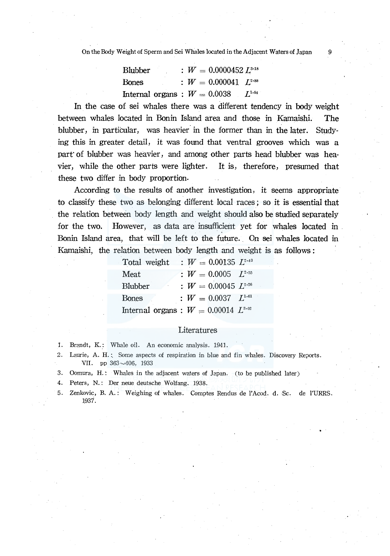On the Body Weight of Sperm and Sei Whales located in the Adjacent Waters of Japan 9

| <b>Blubber</b>                            | $\colon\,W=0.0000452\,L^{3\cdot18}$  |  |
|-------------------------------------------|--------------------------------------|--|
| Bones                                     | $\colon\,W=0.000041\,$ $L^{_{2.88}}$ |  |
| Internal organs : $W = 0.0038$ $L^{1.64}$ |                                      |  |

In the case of sei whales there was a different tendency in body weight between whales located in Bonin Island area and those in Kamaishi. The blubber, in particular, was heavier in the former than in the later. Studying this in greater detail, it was found that ventral grooves which was a part' of blubber was heavier, and among other parts head blubber was heavier, while the other parts were lighter. It is, therefore, presumed that these two differ in body proportion.

According to the results of another investigation, it seems appropriate to classify these two as belonging different focal races; so it is essential that the relation between body length and weight should also be studied separately for the two. However, as data are insufficient yet for whales located in Bonin Island area, that will be left to the future. On sei whales located in Kamaishi, the relation between body length and weight is as follows:

| Total weight | : $W = 0.00135 L^{2.43}$                   |
|--------------|--------------------------------------------|
| Meat         | : $W = 0.0005$ $L^{2.55}$                  |
| Blubber      | : $W = 0.00045 L^{2.26}$                   |
| Bones        | : $W = 0.0037 L^{1.61}$                    |
|              | Internal organs : $W = 0.00014$ $L^{3.02}$ |

#### Literatures

- 1. Brandt, K.: Whale oil. An economic analysis. 1941.
- 2. Laurie, A. H.:. Some aspects of respiration in blue and fin whales. Discovery Reports. VII. pp  $363 - 406$ , 1933
- 3. Oomura, H.: Whales in the adjacent waters of Japan. (to be published later)
- 4. Peters, N.: Der neue deutsche Wolfang. 1938.
- 5. Zenkovic, B. A.: Weighing of whales. Comptes Rendus de l'Acod. d. Sc. de l'URRS. l937.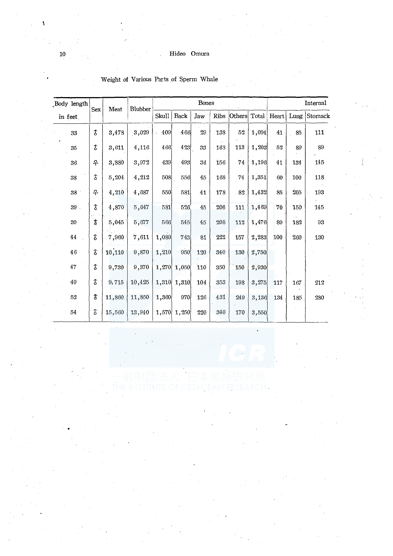| Body length     | <b>Sex</b>     | Meat   | Blubber |       |       | Bones  | Internal    |        |       |       |      |         |
|-----------------|----------------|--------|---------|-------|-------|--------|-------------|--------|-------|-------|------|---------|
| in feet         |                |        |         | Skull | Back  | Jaw    | <b>Ribs</b> | Others | Total | Heart | Lung | Stomack |
| 33              | $\hat{\sigma}$ | 3,478  | 3,029   | 409   | 466   | $29\,$ | 138         | 52     | 1,094 | 41    | 85   | 111     |
| 35              | З              | 3,611  | 4,116   | 466   | 423   | 33     | 163         | 113    | 1,203 | 52    | 89   | $-89$   |
| 36 <sup>°</sup> | ቶ              | 3,880  | 3,972   | 439   | 493   | 34     | 156         | 74     | 1,196 | 41    | 134  | 145     |
| 38              | \$             | 5,204  | 4,212   | 508   | 556   | 45     | 168         | 74     | 1,351 | 60    | 100  | 118.    |
| 38              | ቶ              | 4,210  | 4,687   | 550   | 581   | 41     | 178         | 82     | 1,432 | 85    | 205  | 193     |
| $39$ .          | δ              | 4.870  | 5,647   | 581   | 526'  | 45     | 206         | 111    | 1,469 | 70    | 150  | 145     |
| $39\,$          | $\mathfrak{F}$ | 5,045  | 5,677   | 566   | 545   | 45     | 208         | 112    | 1,476 | 89    | 182  | 93      |
| $\bf 44$        | t              | 7,960  | 7,611   | 1,080 | 743   | 81     | 222         | 157    | 2,283 | 100   | 260  | 130     |
| 46              | $\mathfrak F$  | 10,110 | 9,870   | 1,210 | 950   | 120    | 340         | 130    | 2,750 |       |      |         |
| 47              | \$             | 9,730  | 9,370   | 1,270 | 1,050 | 110    | 350         | 150    | 2,930 |       |      |         |
| 49              | \$             | 9,715  | 10,425  | 1,310 | 1,310 | 104    | 353         | 198    | 3,275 | 117   | 167  | $212 -$ |
| 52              | \$             | 11,860 | 11,850  | 1,360 | 970   | 126    | 431         | 249    | 3,136 | 134   | 185  | 280     |
| $54\,$          | \$             | 15,560 | 13,940  | 1,570 | 1,250 | 220    | 340         | 170    | 3,550 |       |      |         |

Weight of Various Parts of Sperm Whale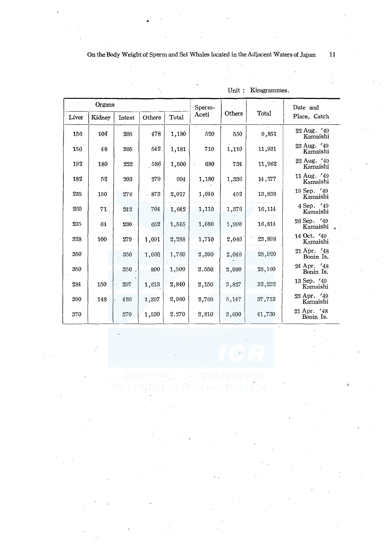| Organs |        |        | Sperm- |       |       | Date and |        |                           |
|--------|--------|--------|--------|-------|-------|----------|--------|---------------------------|
| Liver  | Kidney | Intest | Others | Total | Aceti | Others   | Total  | Place, Catch              |
| 156    | 104    | 205    | 478    | 1,180 | 520   | 550      | 9,851  | 22 Aug. '49<br>Kamaishi   |
| 156    | 48     | 205    | 542    | 1,181 | 710   | 1,110    | 11,931 | 23 Aug. '49<br>Kamaishi   |
| 192    | 180    | 222    | 586    | 1,500 | 680   | 734      | 11,962 | 22 Aug. '49<br>Kamaishi   |
| 182    | 52     | $-203$ | 279    | 994   | 1,180 | 1,336    | 14,277 | 11 Aug. '49<br>Kamaishi   |
| 235    | 150    | 276    | 873    | 2,017 | 1,040 | 452      | 13,838 | 19 Sep. '49<br>Kamaishi   |
| 260    | 71     | 242    | 704    | 1,642 | 1,110 | 1,376    | 16,114 | 4 Sep. '49<br>Kamaishi    |
| 235    | 64     | 230    | 652    | 1,545 | 1,080 | 1,990    | 16,814 | 26 Sep. '49.<br>Kamaishi, |
| 328    | 100    | 279    | 1,091  | 2,288 | 1,710 | 2,046    | 23,898 | 14 Oct. '49<br>Kamaishi   |
| 350    |        | 350    | 1,060  | 1,760 | 2,390 | 2,040    | 28,920 | 21 Apr. '48<br>Bonin Is.  |
| 350    |        | 350    | 800    | 1,500 | 2.550 | 2,080    | 28,160 | 24 Apr. '48.<br>Bonin Is. |
| 284    | 150    | 297    | 1,613  | 2,840 | 2,150 | 3,827    | 32,232 | 13 Sep. '49<br>Kamaishi   |
| 390    | 148    | 426    | 1,397  | 2,960 | 2,760 | 5,147    | 37,713 | 23 Apr. '49<br>Kamaishi   |
| 370    |        | 370    | 1,530  | 2.270 | 2,810 | 3,600    | 41,730 | 21 Apr. '48<br>Bonin Is.  |

Unit : Kirogrammes.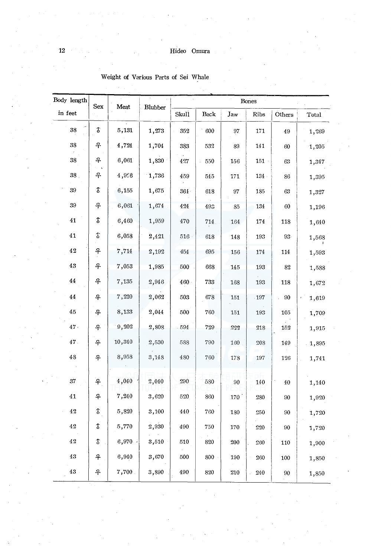| Body length   | Sex                      | Meat   | Blubber |         |         |                 |         |        |          |
|---------------|--------------------------|--------|---------|---------|---------|-----------------|---------|--------|----------|
| in feet       |                          |        |         | Skull   | Back    | Jaw             | Ribs    | Others | Total    |
| 38            | $\mathfrak F$            | 5,131  | 1,273   | 352     | 600     | 97              | 171     | 49     | 1,269    |
| $38\,$        | ዳ                        | 4,724  | 1,704   | 383     | 532     | 89              | 141     | 60     | 1,205    |
| 38            | ቶ                        | 6,061  | 1,830   | 427     | 550     | 156             | $151 -$ | 63     | 1,347    |
| 38            | ቶ                        | 4,956  | 1,736   | 459     | 545     | 171             | $134$ . | 86     | 1,395    |
| $39\,$        | г                        | 6,155  | 1,675   | 361     | 618     | 97              | 185     | $63\,$ | 1,327    |
| 39            | ዳ                        | 6,061  | 1,674   | 424     | 493     | 85              | 134     | 60     | 1,196    |
| $\bf 41$      | $\pmb{\hat{\delta}}$     | 6,460  | 1,959   | 470     | 714.    | 164             | 174     | 118    | 1,640    |
| 41            | \$                       | 6,058  | 2,421   | $516\,$ | 618     | 148             | 193     | 93.    | 1,568    |
| $4\sqrt{2}$   | ቶ                        | 7,714  | 2,192   | 454     | 695     | 156             | 174     | 114    | 1,593    |
| $\bf 43$      | ቶ                        | 7,053  | 1,985   | 500     | 668     | 145             | 193     | 82     | 1,588    |
| $\bf 44$      | ቶ                        | 7,135  | 2,946   | 460     | 733     | 168             | 193     | 118    | 1,672    |
| $\bf 44$      | ቶ                        | 7,220  | 2,062   | 503     | 678     | 151             | 197     | .90    | 1,619    |
| 45            | ቶ                        | 8,133  | 2,044   | 500     | 760     | 151             | 193     | 105    | 1,709    |
| 47.           | 우                        | 9,202  | 2,808   | 594     | 729     | 222             | 218     | 152    | 1,915    |
| 47.           | ቶ                        | 10,340 | 2,530   | 588     | 790     | 160             | 208     | 149    | $-1,895$ |
| $4\sqrt{3}$   | 우                        | 8,958  | 3,148   | 480     | 760     | 178             | 197     | 126    | 1,741    |
| $37\,$        | $\overline{\mathcal{L}}$ | 4,040  | 2,040   | 290     | 580     | $90\,$          |         |        |          |
|               |                          |        |         |         |         |                 | 140     | 40     | 1,140    |
| $4\mathbf{1}$ | 우                        | 7,240  | 3,620   | 520     | 860     | $170^{\degree}$ | 280     | 90     | 1,920    |
| $4\sqrt{2}$   | \$                       | 5,820  | 3,100   | 440     | $7\,60$ | 180             | $250\,$ | 90     | 1,720    |
| 42            | \$                       | 5,770  | 2,930   | 490     | 750     | 170             | 220     | 90     | 1,720    |
| $4\sqrt{2}$   | \$                       | 6,970. | 3,510   | 510     | 820     | 200             | 260     | 110    | 1,900    |
| $\rm 43$      | 우                        | 6,940  | 3,670   | 500     | 800     | 190             | 260     | 100    | 1,850    |
| 43            | ቶ                        | 7,700  | 3,890   | 490     | 820     | $210\,$         | 240     | 90     | 1,850    |

## Weight of Various Parts of Sei Whale

 $\bf{12}$